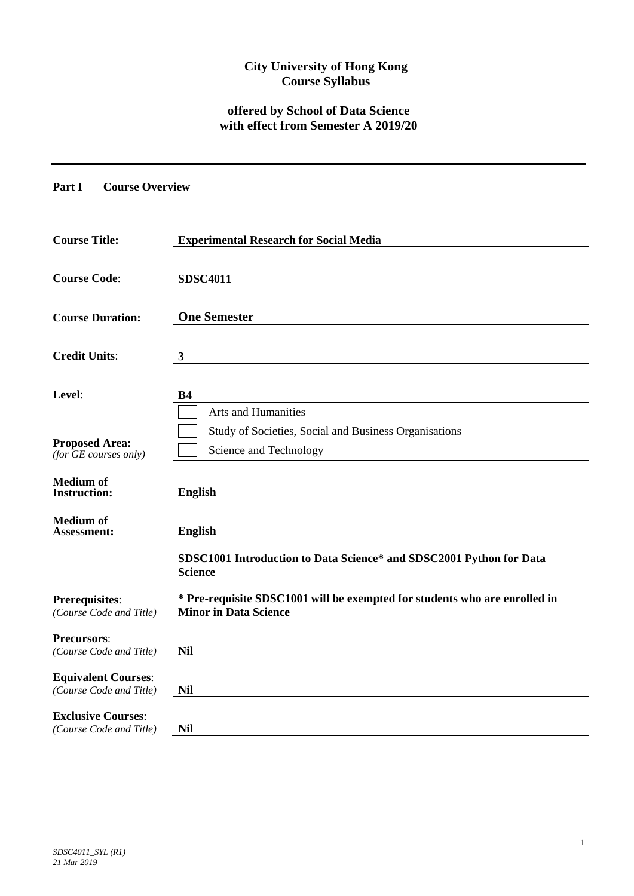## **City University of Hong Kong Course Syllabus**

# **offered by School of Data Science with effect from Semester A 2019/20**

**Part I Course Overview**

| <b>Course Title:</b>                                  | <b>Experimental Research for Social Media</b>                                                              |  |  |  |  |  |
|-------------------------------------------------------|------------------------------------------------------------------------------------------------------------|--|--|--|--|--|
| <b>Course Code:</b>                                   | <b>SDSC4011</b>                                                                                            |  |  |  |  |  |
| <b>Course Duration:</b>                               | <b>One Semester</b>                                                                                        |  |  |  |  |  |
| <b>Credit Units:</b>                                  | $\mathbf{3}$                                                                                               |  |  |  |  |  |
| Level:                                                | <b>B4</b>                                                                                                  |  |  |  |  |  |
|                                                       | <b>Arts and Humanities</b>                                                                                 |  |  |  |  |  |
| <b>Proposed Area:</b><br>(for $GE$ courses only)      | Study of Societies, Social and Business Organisations<br>Science and Technology                            |  |  |  |  |  |
| <b>Medium</b> of<br><b>Instruction:</b>               | <b>English</b>                                                                                             |  |  |  |  |  |
| <b>Medium of</b><br><b>Assessment:</b>                | <b>English</b>                                                                                             |  |  |  |  |  |
|                                                       | SDSC1001 Introduction to Data Science* and SDSC2001 Python for Data<br><b>Science</b>                      |  |  |  |  |  |
| <b>Prerequisites:</b><br>(Course Code and Title)      | * Pre-requisite SDSC1001 will be exempted for students who are enrolled in<br><b>Minor in Data Science</b> |  |  |  |  |  |
| <b>Precursors:</b><br>(Course Code and Title)         | <b>Nil</b>                                                                                                 |  |  |  |  |  |
| <b>Equivalent Courses:</b><br>(Course Code and Title) | <b>Nil</b>                                                                                                 |  |  |  |  |  |
| <b>Exclusive Courses:</b><br>(Course Code and Title)  | <b>Nil</b>                                                                                                 |  |  |  |  |  |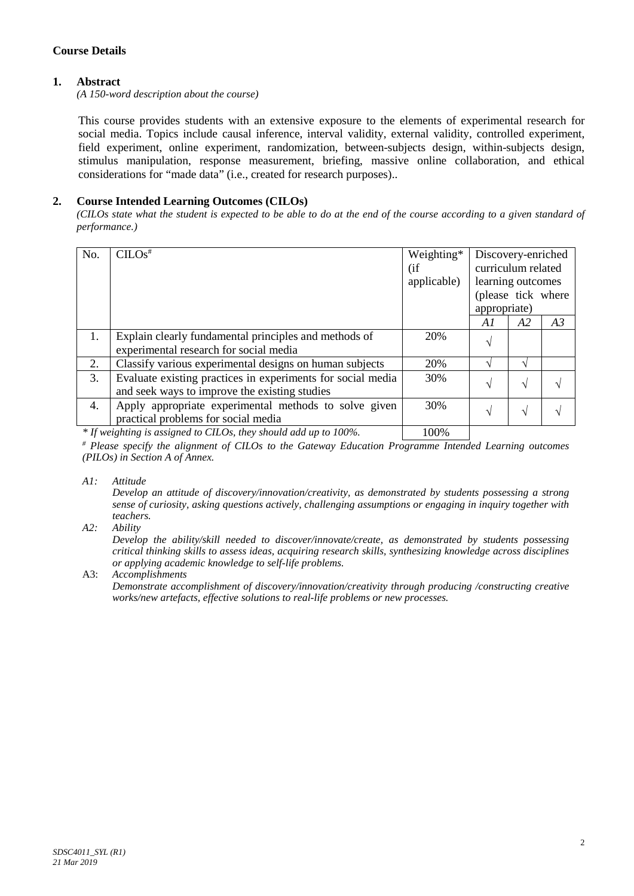## **Course Details**

### **1. Abstract**

*(A 150-word description about the course)*

This course provides students with an extensive exposure to the elements of experimental research for social media. Topics include causal inference, interval validity, external validity, controlled experiment, field experiment, online experiment, randomization, between-subjects design, within-subjects design, stimulus manipulation, response measurement, briefing, massive online collaboration, and ethical considerations for "made data" (i.e., created for research purposes)..

### **2. Course Intended Learning Outcomes (CILOs)**

*(CILOs state what the student is expected to be able to do at the end of the course according to a given standard of performance.)*

| No. | $CLOS$ <sup>#</sup>                                                                                          | Weighting*<br>(i f<br>applicable) | Discovery-enriched<br>curriculum related<br>learning outcomes |               |    |
|-----|--------------------------------------------------------------------------------------------------------------|-----------------------------------|---------------------------------------------------------------|---------------|----|
|     |                                                                                                              |                                   | (please tick where<br>appropriate)                            |               |    |
|     |                                                                                                              |                                   | A1                                                            | A2            | A3 |
| 1.  | Explain clearly fundamental principles and methods of<br>experimental research for social media              | 20%                               | V                                                             |               |    |
| 2.  | Classify various experimental designs on human subjects                                                      | 20%                               |                                                               |               |    |
| 3.  | Evaluate existing practices in experiments for social media<br>and seek ways to improve the existing studies | 30%                               | N                                                             | N             |    |
| 4.  | Apply appropriate experimental methods to solve given<br>practical problems for social media                 | 30%                               | N                                                             | $\mathcal{N}$ |    |
|     |                                                                                                              | 1000 <sub>1</sub>                 |                                                               |               |    |

*\* If weighting is assigned to CILOs, they should add up to 100%.* 100%

*# Please specify the alignment of CILOs to the Gateway Education Programme Intended Learning outcomes (PILOs) in Section A of Annex.* 

*A1: Attitude* 

*Develop an attitude of discovery/innovation/creativity, as demonstrated by students possessing a strong sense of curiosity, asking questions actively, challenging assumptions or engaging in inquiry together with teachers.*

*A2: Ability*

*Develop the ability/skill needed to discover/innovate/create, as demonstrated by students possessing critical thinking skills to assess ideas, acquiring research skills, synthesizing knowledge across disciplines or applying academic knowledge to self-life problems.*

A3: *Accomplishments*

*Demonstrate accomplishment of discovery/innovation/creativity through producing /constructing creative works/new artefacts, effective solutions to real-life problems or new processes.*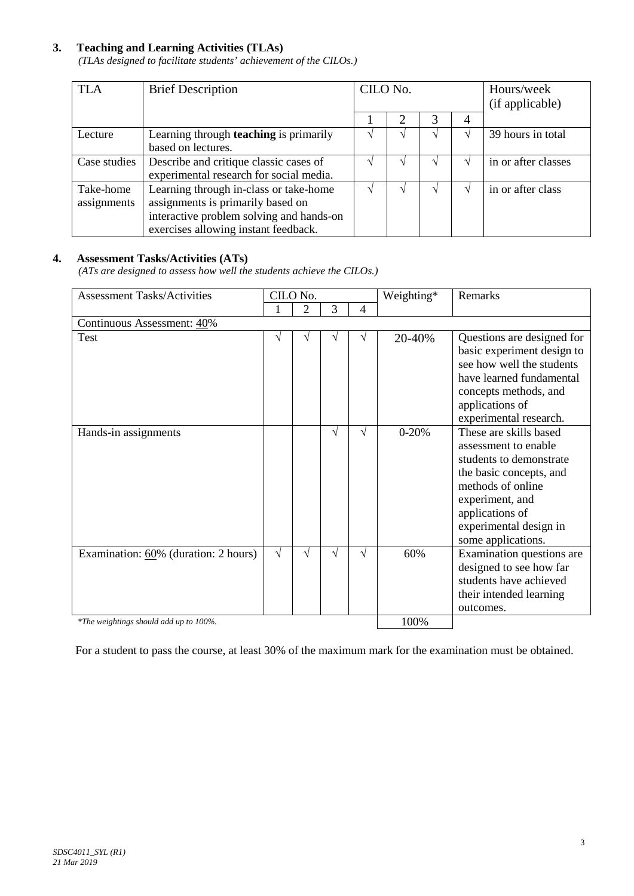## **3. Teaching and Learning Activities (TLAs)**

*(TLAs designed to facilitate students' achievement of the CILOs.)*

| <b>TLA</b>   | <b>Brief Description</b>                      | CILO No. |                             |   | Hours/week<br>(if applicable) |                     |
|--------------|-----------------------------------------------|----------|-----------------------------|---|-------------------------------|---------------------|
|              |                                               |          | $\mathcal{D}_{\mathcal{L}}$ | 3 | 4                             |                     |
| Lecture      | Learning through <b>teaching</b> is primarily |          |                             |   |                               | 39 hours in total   |
|              | based on lectures.                            |          |                             |   |                               |                     |
| Case studies | Describe and critique classic cases of        |          |                             |   |                               | in or after classes |
|              | experimental research for social media.       |          |                             |   |                               |                     |
| Take-home    | Learning through in-class or take-home        |          |                             |   |                               | in or after class   |
| assignments  | assignments is primarily based on             |          |                             |   |                               |                     |
|              | interactive problem solving and hands-on      |          |                             |   |                               |                     |
|              | exercises allowing instant feedback.          |          |                             |   |                               |                     |

## **4. Assessment Tasks/Activities (ATs)**

*(ATs are designed to assess how well the students achieve the CILOs.)*

| <b>Assessment Tasks/Activities</b>     |            | CILO No. |   |   | Weighting* | Remarks                                                                                                                                                                                                         |  |  |
|----------------------------------------|------------|----------|---|---|------------|-----------------------------------------------------------------------------------------------------------------------------------------------------------------------------------------------------------------|--|--|
|                                        |            | 2        | 3 | 4 |            |                                                                                                                                                                                                                 |  |  |
| Continuous Assessment: 40%             |            |          |   |   |            |                                                                                                                                                                                                                 |  |  |
| Test                                   | N          |          |   | V | 20-40%     | Questions are designed for<br>basic experiment design to<br>see how well the students<br>have learned fundamental<br>concepts methods, and<br>applications of<br>experimental research.                         |  |  |
| Hands-in assignments                   |            |          | V | V | $0 - 20%$  | These are skills based<br>assessment to enable<br>students to demonstrate<br>the basic concepts, and<br>methods of online<br>experiment, and<br>applications of<br>experimental design in<br>some applications. |  |  |
| Examination: 60% (duration: 2 hours)   | $\sqrt{ }$ | V        | V | V | 60%        | Examination questions are<br>designed to see how far<br>students have achieved<br>their intended learning<br>outcomes.                                                                                          |  |  |
| *The weightings should add up to 100%. |            |          |   |   | 100%       |                                                                                                                                                                                                                 |  |  |

For a student to pass the course, at least 30% of the maximum mark for the examination must be obtained.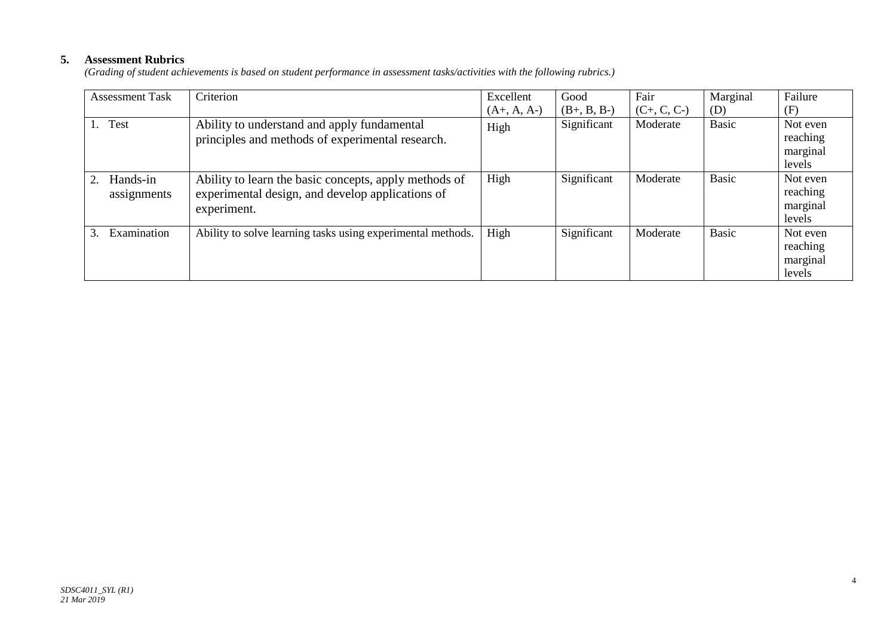## **5. Assessment Rubrics**

*(Grading of student achievements is based on student performance in assessment tasks/activities with the following rubrics.)*

| <b>Assessment Task</b>  | Criterion                                                                                                                | Excellent     | Good          | Fair          | Marginal     | Failure                                    |
|-------------------------|--------------------------------------------------------------------------------------------------------------------------|---------------|---------------|---------------|--------------|--------------------------------------------|
|                         |                                                                                                                          | $(A+, A, A-)$ | $(B+, B, B-)$ | $(C+, C, C-)$ | (D)          | (F)                                        |
| <b>Test</b><br>1.       | Ability to understand and apply fundamental<br>principles and methods of experimental research.                          | High          | Significant   | Moderate      | <b>Basic</b> | Not even<br>reaching<br>marginal<br>levels |
| Hands-in<br>assignments | Ability to learn the basic concepts, apply methods of<br>experimental design, and develop applications of<br>experiment. | High          | Significant   | Moderate      | <b>Basic</b> | Not even<br>reaching<br>marginal<br>levels |
| Examination<br>$3_{-}$  | Ability to solve learning tasks using experimental methods.                                                              | High          | Significant   | Moderate      | <b>Basic</b> | Not even<br>reaching<br>marginal<br>levels |